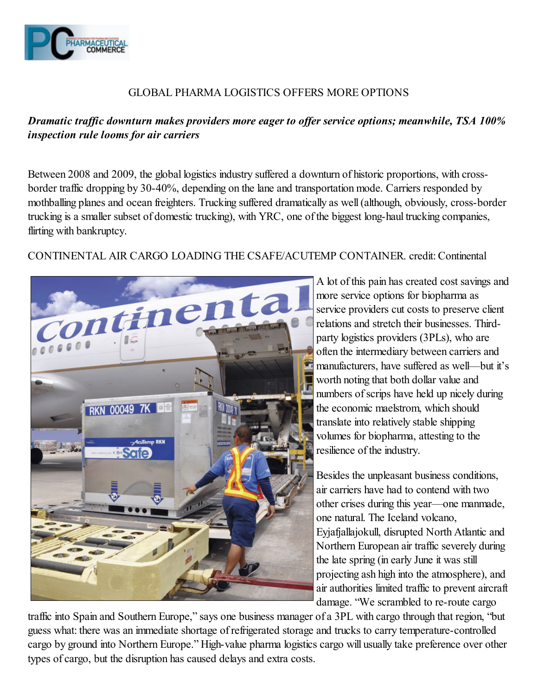

### GLOBAL PHARMA LOGISTICS OFFERS MORE OPTIONS

# Dramatic traffic downturn makes providers more eager to offer service options; meanwhile, TSA 100% inspection rule looms for air carriers

Between 2008 and 2009, the global logistics industry suffered a downturn of historic proportions, with crossborder traffic dropping by 30-40%, depending on the lane and transportation mode. Carriers responded by mothballing planes and ocean freighters. Trucking suffered dramatically as well (although, obviously, cross-border trucking is a smaller subset of domestic trucking), with YRC, one of the biggest long-haul trucking companies, flirting with bankruptcy.

CONTINENTAL AIR CARGO LOADING THE CSAFE/ACUTEMP CONTAINER. credit: Continental



A lot of this pain has created cost savings and more service options for biopharma as service providers cut costs to preserve client relations and stretch their businesses. Thirdparty logistics providers (3PLs), who are often the intermediary between carriers and manufacturers, have suffered as well—but it's worth noting that both dollar value and numbers of scrips have held up nicely during the economic maelstrom, which should translate into relatively stable shipping volumes for biopharma, attesting to the resilience of the industry.

Besides the unpleasant business conditions, air carriers have had to contend with two other crises during this year—one manmade, one natural. The Iceland volcano, Eyjafjallajokull, disrupted North Atlantic and Northern European air traffic severely during the late spring (in early June it was still projecting ash high into the atmosphere), and air authorities limited traffic to prevent aircraft damage. "We scrambled to re-route cargo

traffic into Spain and Southern Europe," says one business manager of a 3PL with cargo through that region, "but guess what: there was an immediate shortage of refrigerated storage and trucks to carry temperature-controlled cargo by ground into Northern Europe." High-value pharma logistics cargo will usually take preference over other types of cargo, but the disruption has caused delays and extra costs.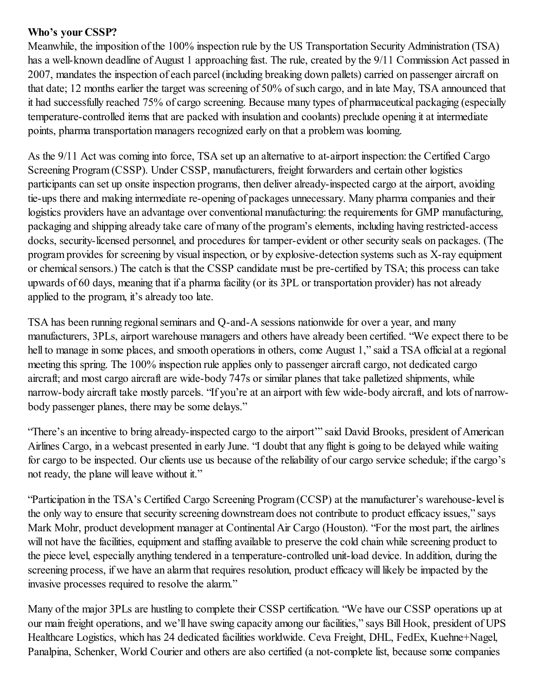### Who's your CSSP?

Meanwhile, the imposition of the 100% inspection rule by the US Transportation Security Administration (TSA) has a well-known deadline of August 1 approaching fast. The rule, created by the 9/11 Commission Act passed in 2007, mandates the inspection of each parcel (including breaking down pallets) carried on passenger aircraft on that date; 12 months earlier the target was screening of 50% of such cargo, and in late May, TSA announced that it had successfully reached 75% of cargo screening. Because many types of pharmaceutical packaging (especially temperature-controlled items that are packed with insulation and coolants) preclude opening it at intermediate points, pharma transportation managers recognized early on that a problem was looming.

As the 9/11 Act was coming into force, TSA set up an alternative to at-airport inspection: the Certified Cargo Screening Program (CSSP). Under CSSP, manufacturers, freight forwarders and certain other logistics participants can set up onsite inspection programs, then deliver already-inspected cargo at the airport, avoiding tie-ups there and making intermediate re-opening of packages unnecessary. Many pharma companies and their logistics providers have an advantage over conventional manufacturing: the requirements for GMP manufacturing, packaging and shipping already take care of many of the program's elements, including having restricted-access docks, security-licensed personnel, and procedures for tamper-evident or other security seals on packages. (The program provides for screening by visual inspection, or by explosive-detection systems such as X-ray equipment or chemical sensors.) The catch is that the CSSP candidate must be pre-certified by TSA; this process can take upwards of 60 days, meaning that if a pharma facility (or its 3PL or transportation provider) has not already applied to the program, it's already too late.

TSA has been running regional seminars and Q-and-A sessions nationwide for over a year, and many manufacturers, 3PLs, airport warehouse managers and others have already been certified. "We expect there to be hell to manage in some places, and smooth operations in others, come August 1," said a TSA official at a regional meeting this spring. The 100% inspection rule applies only to passenger aircraft cargo, not dedicated cargo aircraft; and most cargo aircraft are wide-body 747s or similar planes that take palletized shipments, while narrow-body aircraft take mostly parcels. "If you're at an airport with few wide-body aircraft, and lots of narrowbody passenger planes, there may be some delays."

"There's an incentive to bring already-inspected cargo to the airport'" said David Brooks, president of American Airlines Cargo, in a webcast presented in early June. "I doubt that any flight is going to be delayed while waiting for cargo to be inspected. Our clients use us because of the reliability of our cargo service schedule; if the cargo's not ready, the plane will leave without it."

"Participation in the TSA's Certified Cargo Screening Program (CCSP) at the manufacturer's warehouse-level is the only way to ensure that security screening downstream does not contribute to product efficacy issues," says Mark Mohr, product development manager at Continental Air Cargo (Houston). "For the most part, the airlines will not have the facilities, equipment and staffing available to preserve the cold chain while screening product to the piece level, especially anything tendered in a temperature-controlled unit-load device. In addition, during the screening process, if we have an alarm that requires resolution, product efficacy will likely be impacted by the invasive processes required to resolve the alarm."

Many of the major 3PLs are hustling to complete their CSSP certification. "We have our CSSP operations up at our main freight operations, and we'll have swing capacity among our facilities," says Bill Hook, president of UPS Healthcare Logistics, which has 24 dedicated facilities worldwide. Ceva Freight, DHL, FedEx, Kuehne+Nagel, Panalpina, Schenker, World Courier and others are also certified (a not-complete list, because some companies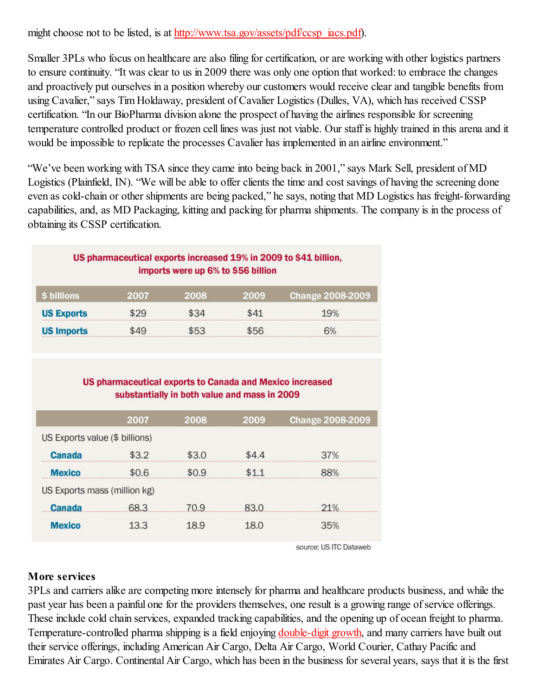might choose not to be listed, is at http://www.tsa.gov/assets/pdf/ccsp\_iacs.pdf).

Smaller 3PLs who focus on healthcare are also filing for certification, or are working with other logistics partners to ensure continuity. "It was clear to us in 2009 there was only one option that worked: to embrace the changes and proactively put ourselves in a position whereby our customers would receive clear and tangible benefits from using Cavalier," says Tim Holdaway, president of Cavalier Logistics (Dulles, VA), which has received CSSP certification. "In our BioPharma division alone the prospect of having the airlines responsible for screening temperature controlled product or frozen cell lines was just not viable. Our staff is highly trained in this arena and it would be impossible to replicate the processes Cavalier has implemented in an airline environment."

"We've been working with TSA since they came into being back in 2001," says Mark Sell, president of MD Logistics (Plainfield, IN). "We will be able to offer clients the time and cost savings of having the screening done even as cold-chain or other shipments are being packed," he says, noting that MD Logistics has freight-forwarding capabilities, and, as MD Packaging, kitting and packing for pharma shipments. The company is in the process of obtaining its CSSP certification.

| US pharmaceutical exports increased 19% in 2009 to \$41 billion,<br>imports were up 6% to \$56 billion |      |         |      |                         |  |  |  |
|--------------------------------------------------------------------------------------------------------|------|---------|------|-------------------------|--|--|--|
| \$ billions                                                                                            | 2007 | 2008    | 2009 | <b>Change 2008-2009</b> |  |  |  |
| <b>US Exports</b>                                                                                      | \$29 | \$34    | \$41 | 19%                     |  |  |  |
| <b>US Imports</b>                                                                                      | 649  | $5 - 3$ | 556  | n%                      |  |  |  |

#### **US pharmaceutical exports to Canada and Mexico increased** substantially in both value and mass in 2009

|                                | 2007  | 2008  | 2009  | <b>Change 2008-2009</b> |
|--------------------------------|-------|-------|-------|-------------------------|
| US Exports value (\$ billions) |       |       |       |                         |
| <b>Canada</b>                  | \$3.2 | \$3.0 | \$4.4 | 37%                     |
| <b>Mexico</b>                  | \$0.6 | \$0.9 | \$11  | 88%                     |
| US Exports mass (million kg)   |       |       |       |                         |
| <b>Canada</b>                  | 68.3  | 70.9  | 83.0  | 21%                     |
| <b>Mexico</b>                  | 13.3  | 18.9  | 18.0  | 35%                     |

source: US ITC Dataweb

## More services

3PLs and carriers alike are competing more intensely for pharma and healthcare products business, and while the past year has been a painful one for the providers themselves, one result is a growing range of service offerings. These include cold chain services, expanded tracking capabilities, and the opening up of ocean freight to pharma. Temperature-controlled pharma shipping is a field enjoying double-digit growth, and many carriers have built out their service offerings, including American Air Cargo, Delta Air Cargo, World Courier, Cathay Pacific and Emirates Air Cargo. Continental Air Cargo, which has been in the business for several years, says that it is the first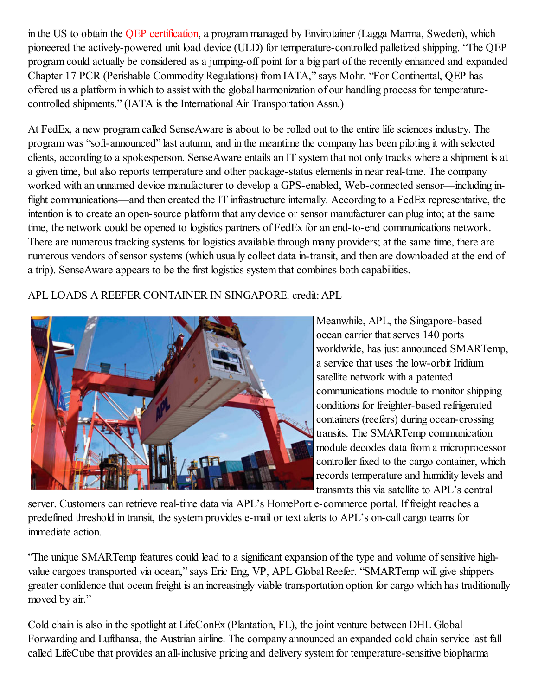in the US to obtain the QEP certification, a program managed by Envirotainer (Lagga Marma, Sweden), which pioneered the actively-powered unit load device (ULD) for temperature-controlled palletized shipping. "The QEP program could actually be considered as a jumping-off point for a big part of the recently enhanced and expanded Chapter 17 PCR (Perishable Commodity Regulations) from IATA," says Mohr. "For Continental, QEP has offered us a platform in which to assist with the global harmonization of our handling process for temperaturecontrolled shipments." (IATA is the International Air Transportation Assn.)

At FedEx, a new program called SenseAware is about to be rolled out to the entire life sciences industry. The program was "soft-announced" last autumn, and in the meantime the company has been piloting it with selected clients, according to a spokesperson. SenseAware entails an IT system that not only tracks where a shipment is at a given time, but also reports temperature and other package-status elements in near real-time. The company worked with an unnamed device manufacturer to develop a GPS-enabled, Web-connected sensor—including inflight communications—and then created the IT infrastructure internally. According to a FedEx representative, the intention is to create an open-source platform that any device or sensor manufacturer can plug into; at the same time, the network could be opened to logistics partners of FedEx for an end-to-end communications network. There are numerous tracking systems for logistics available through many providers; at the same time, there are numerous vendors of sensor systems (which usually collect data in-transit, and then are downloaded at the end of a trip). SenseAware appears to be the first logistics system that combines both capabilities.

APL LOADS A REEFER CONTAINER IN SINGAPORE. credit: APL



Meanwhile, APL, the Singapore-based ocean carrier that serves 140 ports worldwide, has just announced SMARTemp, a service that uses the low-orbit Iridium satellite network with a patented communications module to monitor shipping conditions for freighter-based refrigerated containers (reefers) during ocean-crossing transits. The SMARTemp communication module decodes data from a microprocessor controller fixed to the cargo container, which records temperature and humidity levels and transmits this via satellite to APL's central

server. Customers can retrieve real-time data via APL's HomePort e-commerce portal. If freight reaches a predefined threshold in transit, the system provides e-mail or text alerts to APL's on-call cargo teams for immediate action.

"The unique SMARTemp features could lead to a significant expansion of the type and volume of sensitive highvalue cargoes transported via ocean," says Eric Eng, VP, APL Global Reefer. "SMARTemp will give shippers greater confidence that ocean freight is an increasingly viable transportation option for cargo which has traditionally moved by air."

Cold chain is also in the spotlight at LifeConEx (Plantation, FL), the joint venture between DHL Global Forwarding and Lufthansa, the Austrian airline. The company announced an expanded cold chain service last fall called LifeCube that provides an all-inclusive pricing and delivery system for temperature-sensitive biopharma